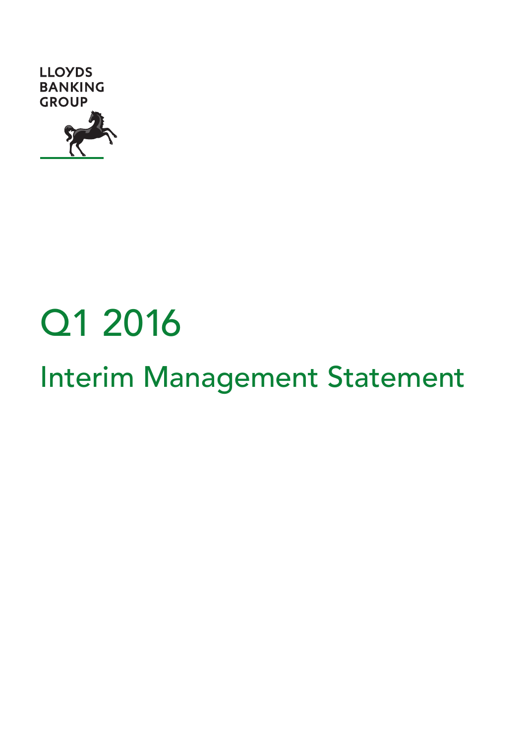

# Q1 2016

# Interim Management Statement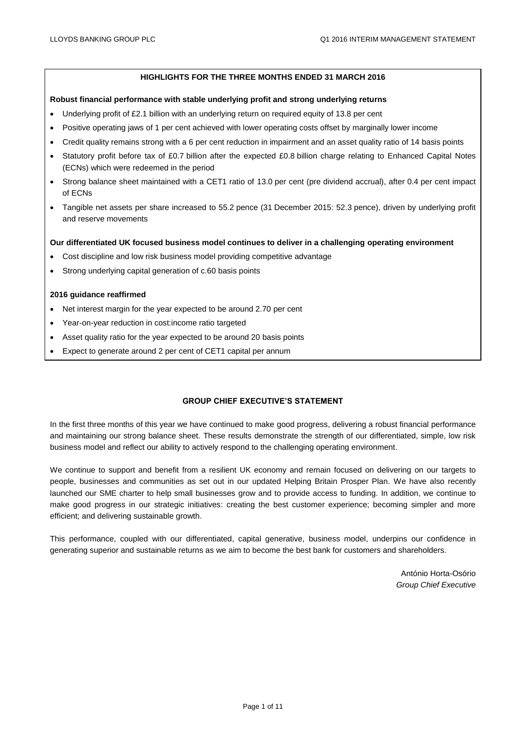#### **HIGHLIGHTS FOR THE THREE MONTHS ENDED 31 MARCH 2016**

#### **Robust financial performance with stable underlying profit and strong underlying returns**

- Underlying profit of £2.1 billion with an underlying return on required equity of 13.8 per cent
- Positive operating jaws of 1 per cent achieved with lower operating costs offset by marginally lower income
- Credit quality remains strong with a 6 per cent reduction in impairment and an asset quality ratio of 14 basis points
- Statutory profit before tax of £0.7 billion after the expected £0.8 billion charge relating to Enhanced Capital Notes (ECNs) which were redeemed in the period
- Strong balance sheet maintained with a CET1 ratio of 13.0 per cent (pre dividend accrual), after 0.4 per cent impact of ECNs
- Tangible net assets per share increased to 55.2 pence (31 December 2015: 52.3 pence), driven by underlying profit and reserve movements

#### **Our differentiated UK focused business model continues to deliver in a challenging operating environment**

- Cost discipline and low risk business model providing competitive advantage
- Strong underlying capital generation of c.60 basis points

#### **2016 guidance reaffirmed**

- Net interest margin for the year expected to be around 2.70 per cent
- Year-on-year reduction in cost:income ratio targeted
- Asset quality ratio for the year expected to be around 20 basis points
- Expect to generate around 2 per cent of CET1 capital per annum

#### **GROUP CHIEF EXECUTIVE'S STATEMENT**

In the first three months of this year we have continued to make good progress, delivering a robust financial performance and maintaining our strong balance sheet. These results demonstrate the strength of our differentiated, simple, low risk business model and reflect our ability to actively respond to the challenging operating environment.

We continue to support and benefit from a resilient UK economy and remain focused on delivering on our targets to people, businesses and communities as set out in our updated Helping Britain Prosper Plan. We have also recently launched our SME charter to help small businesses grow and to provide access to funding. In addition, we continue to make good progress in our strategic initiatives: creating the best customer experience; becoming simpler and more efficient; and delivering sustainable growth.

This performance, coupled with our differentiated, capital generative, business model, underpins our confidence in generating superior and sustainable returns as we aim to become the best bank for customers and shareholders.

> António Horta-Osório *Group Chief Executive*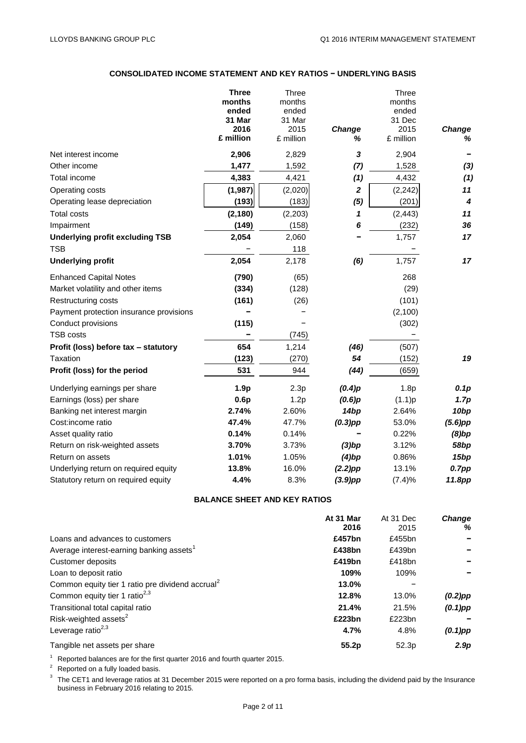# **CONSOLIDATED INCOME STATEMENT AND KEY RATIOS − UNDERLYING BASIS**

|                                         | <b>Three</b><br>months<br>ended<br>31 Mar | <b>Three</b><br>months<br>ended<br>31 Mar |                  | Three<br>months<br>ended<br>31 Dec |                         |
|-----------------------------------------|-------------------------------------------|-------------------------------------------|------------------|------------------------------------|-------------------------|
|                                         | 2016                                      | 2015                                      | <b>Change</b>    | 2015                               | Change                  |
|                                         | £ million                                 | £ million                                 | ℅                | £ million                          | ℅                       |
| Net interest income                     | 2,906                                     | 2,829                                     | 3                | 2,904                              |                         |
| Other income                            | 1,477                                     | 1,592                                     | (7)              | 1,528                              | $(3)$                   |
| Total income                            | 4,383                                     | 4,421                                     | (1)              | 4,432                              | (1)                     |
| Operating costs                         | (1,987)                                   | (2,020)                                   | $\boldsymbol{2}$ | (2, 242)                           | 11                      |
| Operating lease depreciation            | (193)                                     | (183)                                     | (5)              | (201)                              | $\overline{\mathbf{4}}$ |
| <b>Total costs</b>                      | (2, 180)                                  | (2,203)                                   | 1                | (2, 443)                           | 11                      |
| Impairment                              | (149)                                     | (158)                                     | 6                | (232)                              | 36                      |
| <b>Underlying profit excluding TSB</b>  | 2,054                                     | 2,060                                     |                  | 1,757                              | 17                      |
| <b>TSB</b>                              |                                           | 118                                       |                  |                                    |                         |
| <b>Underlying profit</b>                | 2,054                                     | 2,178                                     | (6)              | 1,757                              | 17                      |
| <b>Enhanced Capital Notes</b>           | (790)                                     | (65)                                      |                  | 268                                |                         |
| Market volatility and other items       | (334)                                     | (128)                                     |                  | (29)                               |                         |
| Restructuring costs                     | (161)                                     | (26)                                      |                  | (101)                              |                         |
| Payment protection insurance provisions |                                           |                                           |                  | (2, 100)                           |                         |
| Conduct provisions                      | (115)                                     |                                           |                  | (302)                              |                         |
| <b>TSB costs</b>                        |                                           | (745)                                     |                  |                                    |                         |
| Profit (loss) before tax - statutory    | 654                                       | 1,214                                     | (46)             | (507)                              |                         |
| Taxation                                | (123)                                     | (270)                                     | 54               | (152)                              | 19                      |
| Profit (loss) for the period            | 531                                       | 944                                       | (44)             | (659)                              |                         |
| Underlying earnings per share           | 1.9 <sub>p</sub>                          | 2.3p                                      | (0.4)p           | 1.8p                               | 0.1p                    |
| Earnings (loss) per share               | 0.6p                                      | 1.2p                                      | (0.6)p           | (1.1)p                             | 1.7p                    |
| Banking net interest margin             | 2.74%                                     | 2.60%                                     | 14 <sub>bp</sub> | 2.64%                              | 10 <sub>bp</sub>        |
| Cost:income ratio                       | 47.4%                                     | 47.7%                                     | $(0.3)$ pp       | 53.0%                              | $(5.6)$ pp              |
| Asset quality ratio                     | 0.14%                                     | 0.14%                                     |                  | 0.22%                              | $(8)$ bp                |
| Return on risk-weighted assets          | 3.70%                                     | 3.73%                                     | $(3)$ bp         | 3.12%                              | 58bp                    |
| Return on assets                        | 1.01%                                     | 1.05%                                     | $(4)$ bp         | 0.86%                              | 15 <sub>bp</sub>        |
| Underlying return on required equity    | 13.8%                                     | 16.0%                                     | $(2.2)$ pp       | 13.1%                              | 0.7pp                   |
| Statutory return on required equity     | 4.4%                                      | 8.3%                                      | $(3.9)$ pp       | (7.4)%                             | 11.8pp                  |

### **BALANCE SHEET AND KEY RATIOS**

|                                                              | At 31 Mar<br>2016 | At 31 Dec<br>2015 | <b>Change</b><br>% |
|--------------------------------------------------------------|-------------------|-------------------|--------------------|
| Loans and advances to customers                              | £457bn            | £455bn            |                    |
| Average interest-earning banking assets <sup>1</sup>         | £438bn            | £439bn            |                    |
| Customer deposits                                            | £419bn            | £418bn            |                    |
| Loan to deposit ratio                                        | 109%              | 109%              |                    |
| Common equity tier 1 ratio pre dividend accrual <sup>2</sup> | 13.0%             |                   |                    |
| Common equity tier 1 ratio <sup>2,3</sup>                    | 12.8%             | 13.0%             | $(0.2)$ pp         |
| Transitional total capital ratio                             | 21.4%             | 21.5%             | $(0.1)$ pp         |
| Risk-weighted assets <sup>2</sup>                            | £223bn            | £223bn            |                    |
| Leverage ratio <sup>2,3</sup>                                | 4.7%              | 4.8%              | $(0.1)$ pp         |
| Tangible net assets per share                                | 55.2 <sub>p</sub> | 52.3 <sub>p</sub> | 2.9 <sub>D</sub>   |

 $1$  Reported balances are for the first quarter 2016 and fourth quarter 2015.

 $2^2$  Reported on a fully loaded basis.

 $3$  The CET1 and leverage ratios at 31 December 2015 were reported on a pro forma basis, including the dividend paid by the Insurance business in February 2016 relating to 2015.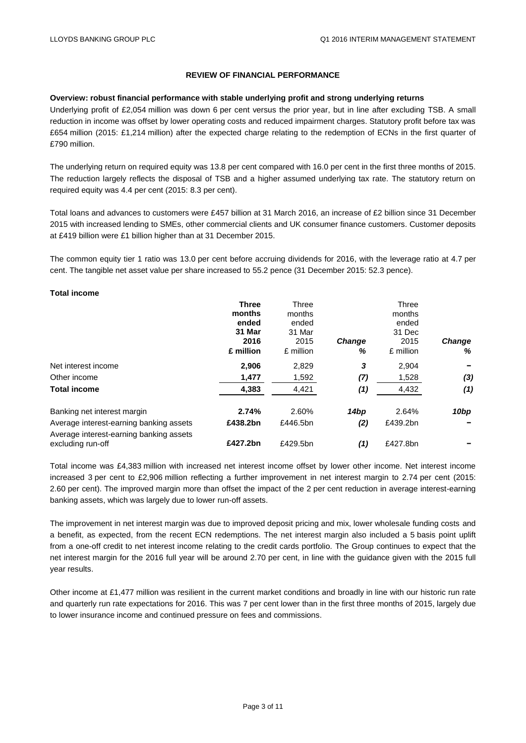#### **REVIEW OF FINANCIAL PERFORMANCE**

#### **Overview: robust financial performance with stable underlying profit and strong underlying returns**

Underlying profit of £2,054 million was down 6 per cent versus the prior year, but in line after excluding TSB. A small reduction in income was offset by lower operating costs and reduced impairment charges. Statutory profit before tax was £654 million (2015: £1,214 million) after the expected charge relating to the redemption of ECNs in the first quarter of £790 million.

The underlying return on required equity was 13.8 per cent compared with 16.0 per cent in the first three months of 2015. The reduction largely reflects the disposal of TSB and a higher assumed underlying tax rate. The statutory return on required equity was 4.4 per cent (2015: 8.3 per cent).

Total loans and advances to customers were £457 billion at 31 March 2016, an increase of £2 billion since 31 December 2015 with increased lending to SMEs, other commercial clients and UK consumer finance customers. Customer deposits at £419 billion were £1 billion higher than at 31 December 2015.

The common equity tier 1 ratio was 13.0 per cent before accruing dividends for 2016, with the leverage ratio at 4.7 per cent. The tangible net asset value per share increased to 55.2 pence (31 December 2015: 52.3 pence).

#### **Total income**

|                                                              | <b>Three</b><br>months<br>ended<br>31 Mar<br>2016<br>£ million | Three<br>months<br>ended<br>31 Mar<br>2015<br>£ million | <b>Change</b><br>% | Three<br>months<br>ended<br>31 Dec<br>2015<br>£ million | <b>Change</b><br>% |
|--------------------------------------------------------------|----------------------------------------------------------------|---------------------------------------------------------|--------------------|---------------------------------------------------------|--------------------|
| Net interest income                                          | 2.906                                                          | 2,829                                                   | 3                  | 2,904                                                   |                    |
| Other income                                                 | 1,477                                                          | 1,592                                                   | (7)                | 1,528                                                   | (3)                |
| <b>Total income</b>                                          | 4,383                                                          | 4,421                                                   | (1)                | 4,432                                                   | (1)                |
| Banking net interest margin                                  | 2.74%                                                          | 2.60%                                                   | 14bp               | 2.64%                                                   | 10bp               |
| Average interest-earning banking assets                      | £438.2bn                                                       | £446.5bn                                                | (2)                | £439.2bn                                                |                    |
| Average interest-earning banking assets<br>excluding run-off | £427.2bn                                                       | £429.5bn                                                | (1)                | £427.8bn                                                |                    |

Total income was £4,383 million with increased net interest income offset by lower other income. Net interest income increased 3 per cent to £2,906 million reflecting a further improvement in net interest margin to 2.74 per cent (2015: 2.60 per cent). The improved margin more than offset the impact of the 2 per cent reduction in average interest-earning banking assets, which was largely due to lower run-off assets.

The improvement in net interest margin was due to improved deposit pricing and mix, lower wholesale funding costs and a benefit, as expected, from the recent ECN redemptions. The net interest margin also included a 5 basis point uplift from a one-off credit to net interest income relating to the credit cards portfolio. The Group continues to expect that the net interest margin for the 2016 full year will be around 2.70 per cent, in line with the guidance given with the 2015 full year results.

Other income at £1,477 million was resilient in the current market conditions and broadly in line with our historic run rate and quarterly run rate expectations for 2016. This was 7 per cent lower than in the first three months of 2015, largely due to lower insurance income and continued pressure on fees and commissions.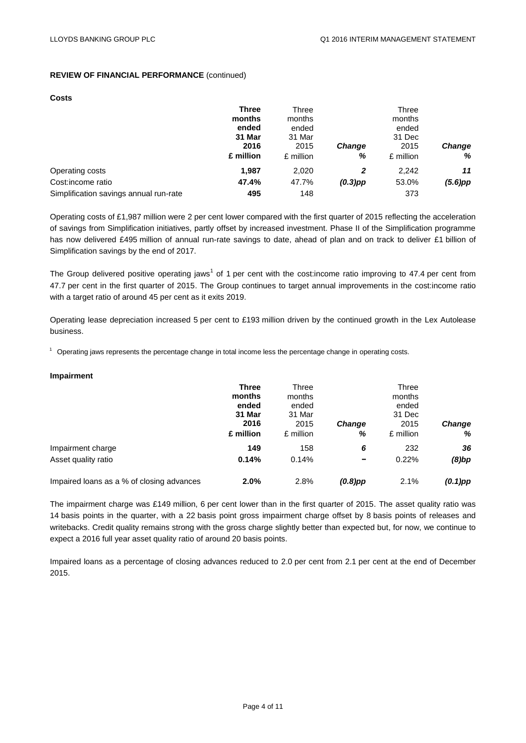#### **REVIEW OF FINANCIAL PERFORMANCE** (continued)

#### **Costs**

|                                        | <b>Three</b><br>months<br>ended<br>31 Mar | Three<br>months<br>ended<br>31 Mar |                    | Three<br>months<br>ended<br>31 Dec |                    |
|----------------------------------------|-------------------------------------------|------------------------------------|--------------------|------------------------------------|--------------------|
|                                        | 2016<br>£ million                         | 2015<br>£ million                  | <b>Change</b><br>% | 2015<br>£ million                  | <b>Change</b><br>% |
| Operating costs                        | 1.987                                     | 2,020                              | 2                  | 2,242                              | 11                 |
| Cost: income ratio                     | 47.4%                                     | 47.7%                              | $(0.3)$ pp         | 53.0%                              | $(5.6)$ pp         |
| Simplification savings annual run-rate | 495                                       | 148                                |                    | 373                                |                    |

Operating costs of £1,987 million were 2 per cent lower compared with the first quarter of 2015 reflecting the acceleration of savings from Simplification initiatives, partly offset by increased investment. Phase II of the Simplification programme has now delivered £495 million of annual run-rate savings to date, ahead of plan and on track to deliver £1 billion of Simplification savings by the end of 2017.

The Group delivered positive operating jaws<sup>1</sup> of 1 per cent with the cost:income ratio improving to 47.4 per cent from 47.7 per cent in the first quarter of 2015. The Group continues to target annual improvements in the cost:income ratio with a target ratio of around 45 per cent as it exits 2019.

Operating lease depreciation increased 5 per cent to £193 million driven by the continued growth in the Lex Autolease business.

 $1$  Operating jaws represents the percentage change in total income less the percentage change in operating costs.

#### **Impairment**

|                                           | <b>Three</b> | Three     |               | Three     |            |
|-------------------------------------------|--------------|-----------|---------------|-----------|------------|
|                                           | months       | months    |               | months    |            |
|                                           | ended        | ended     |               | ended     |            |
|                                           | 31 Mar       | 31 Mar    |               | 31 Dec    |            |
|                                           | 2016         | 2015      | <b>Change</b> | 2015      | Change     |
|                                           | £ million    | £ million | %             | £ million | %          |
| Impairment charge                         | 149          | 158       | 6             | 232       | 36         |
| Asset quality ratio                       | 0.14%        | 0.14%     | -             | 0.22%     | $(8)$ bp   |
| Impaired loans as a % of closing advances | 2.0%         | 2.8%      | $(0.8)$ pp    | 2.1%      | $(0.1)$ pp |

The impairment charge was £149 million, 6 per cent lower than in the first quarter of 2015. The asset quality ratio was 14 basis points in the quarter, with a 22 basis point gross impairment charge offset by 8 basis points of releases and writebacks. Credit quality remains strong with the gross charge slightly better than expected but, for now, we continue to expect a 2016 full year asset quality ratio of around 20 basis points.

Impaired loans as a percentage of closing advances reduced to 2.0 per cent from 2.1 per cent at the end of December 2015.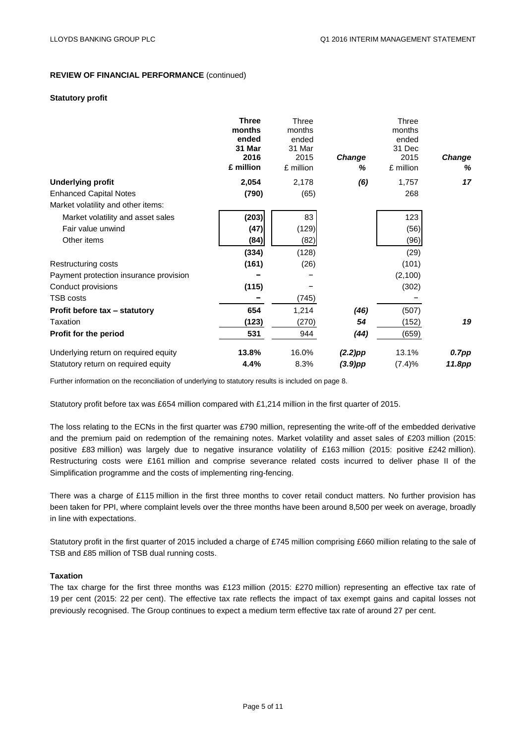#### **REVIEW OF FINANCIAL PERFORMANCE** (continued)

#### **Statutory profit**

|                                        | <b>Three</b><br>months<br>ended<br>31 Mar<br>2016<br>£ million | Three<br>months<br>ended<br>31 Mar<br>2015<br>£ million | Change<br>% | Three<br>months<br>ended<br>31 Dec<br>2015<br>£ million | Change<br>% |
|----------------------------------------|----------------------------------------------------------------|---------------------------------------------------------|-------------|---------------------------------------------------------|-------------|
| <b>Underlying profit</b>               | 2,054                                                          | 2,178                                                   | (6)         | 1,757                                                   | 17          |
| <b>Enhanced Capital Notes</b>          | (790)                                                          | (65)                                                    |             | 268                                                     |             |
| Market volatility and other items:     |                                                                |                                                         |             |                                                         |             |
| Market volatility and asset sales      | (203)                                                          | 83                                                      |             | 123                                                     |             |
| Fair value unwind                      | (47)                                                           | (129)                                                   |             | (56)                                                    |             |
| Other items                            | (84)                                                           | (82)                                                    |             | (96)                                                    |             |
|                                        | (334)                                                          | (128)                                                   |             | (29)                                                    |             |
| Restructuring costs                    | (161)                                                          | (26)                                                    |             | (101)                                                   |             |
| Payment protection insurance provision |                                                                |                                                         |             | (2,100)                                                 |             |
| Conduct provisions                     | (115)                                                          |                                                         |             | (302)                                                   |             |
| <b>TSB costs</b>                       |                                                                | (745)                                                   |             |                                                         |             |
| Profit before tax - statutory          | 654                                                            | 1,214                                                   | (46)        | (507)                                                   |             |
| Taxation                               | (123)                                                          | (270)                                                   | 54          | (152)                                                   | 19          |
| Profit for the period                  | 531                                                            | 944                                                     | (44)        | (659)                                                   |             |
| Underlying return on required equity   | 13.8%                                                          | 16.0%                                                   | $(2.2)$ pp  | 13.1%                                                   | 0.7pp       |
| Statutory return on required equity    | 4.4%                                                           | 8.3%                                                    | $(3.9)$ pp  | (7.4)%                                                  | 11.8pp      |

Further information on the reconciliation of underlying to statutory results is included on page 8.

Statutory profit before tax was £654 million compared with £1,214 million in the first quarter of 2015.

The loss relating to the ECNs in the first quarter was £790 million, representing the write-off of the embedded derivative and the premium paid on redemption of the remaining notes. Market volatility and asset sales of £203 million (2015: positive £83 million) was largely due to negative insurance volatility of £163 million (2015: positive £242 million). Restructuring costs were £161 million and comprise severance related costs incurred to deliver phase II of the Simplification programme and the costs of implementing ring-fencing.

There was a charge of £115 million in the first three months to cover retail conduct matters. No further provision has been taken for PPI, where complaint levels over the three months have been around 8,500 per week on average, broadly in line with expectations.

Statutory profit in the first quarter of 2015 included a charge of £745 million comprising £660 million relating to the sale of TSB and £85 million of TSB dual running costs.

#### **Taxation**

The tax charge for the first three months was £123 million (2015: £270 million) representing an effective tax rate of 19 per cent (2015: 22 per cent). The effective tax rate reflects the impact of tax exempt gains and capital losses not previously recognised. The Group continues to expect a medium term effective tax rate of around 27 per cent.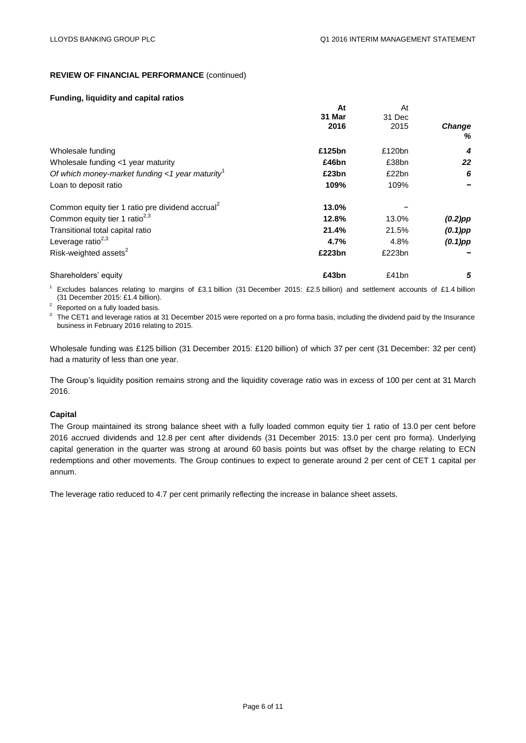#### **REVIEW OF FINANCIAL PERFORMANCE** (continued)

#### **Funding, liquidity and capital ratios**

|                                                              | At     | At     |               |
|--------------------------------------------------------------|--------|--------|---------------|
|                                                              | 31 Mar | 31 Dec |               |
|                                                              | 2016   | 2015   | <b>Change</b> |
|                                                              |        |        | %             |
| Wholesale funding                                            | £125bn | £120bn | 4             |
| Wholesale funding <1 year maturity                           | £46bn  | £38bn  | 22            |
| Of which money-market funding <1 year maturity <sup>1</sup>  | £23bn  | £22bn  | 6             |
| Loan to deposit ratio                                        | 109%   | 109%   |               |
| Common equity tier 1 ratio pre dividend accrual <sup>2</sup> | 13.0%  |        |               |
| Common equity tier 1 ratio <sup>2,3</sup>                    | 12.8%  | 13.0%  | $(0.2)$ pp    |
| Transitional total capital ratio                             | 21.4%  | 21.5%  | $(0.1)$ pp    |
| Leverage ratio $^{2,3}$                                      | 4.7%   | 4.8%   | $(0.1)$ pp    |
| Risk-weighted assets <sup>2</sup>                            | £223bn | £223bn |               |
| Shareholders' equity                                         | £43bn  | £41bn  | 5             |

<sup>1</sup> Excludes balances relating to margins of £3.1 billion (31 December 2015: £2.5 billion) and settlement accounts of £1.4 billion (31 December 2015: £1.4 billion).

Reported on a fully loaded basis.

 $3$  The CET1 and leverage ratios at 31 December 2015 were reported on a pro forma basis, including the dividend paid by the Insurance business in February 2016 relating to 2015.

Wholesale funding was £125 billion (31 December 2015: £120 billion) of which 37 per cent (31 December: 32 per cent) had a maturity of less than one year.

The Group's liquidity position remains strong and the liquidity coverage ratio was in excess of 100 per cent at 31 March 2016.

#### **Capital**

The Group maintained its strong balance sheet with a fully loaded common equity tier 1 ratio of 13.0 per cent before 2016 accrued dividends and 12.8 per cent after dividends (31 December 2015: 13.0 per cent pro forma). Underlying capital generation in the quarter was strong at around 60 basis points but was offset by the charge relating to ECN redemptions and other movements. The Group continues to expect to generate around 2 per cent of CET 1 capital per annum.

The leverage ratio reduced to 4.7 per cent primarily reflecting the increase in balance sheet assets.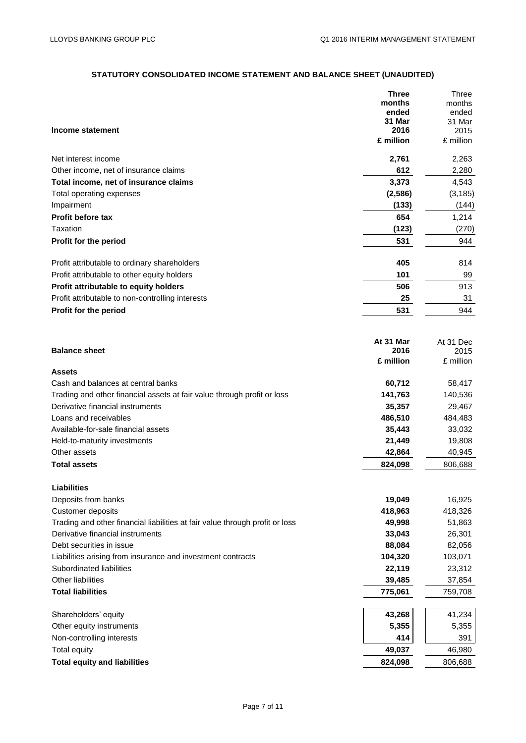# **STATUTORY CONSOLIDATED INCOME STATEMENT AND BALANCE SHEET (UNAUDITED)**

|                                                                              | Three           | <b>Three</b>    |
|------------------------------------------------------------------------------|-----------------|-----------------|
|                                                                              | months          | months          |
|                                                                              | ended<br>31 Mar | ended<br>31 Mar |
| Income statement                                                             | 2016            | 2015            |
|                                                                              | £ million       | £ million       |
| Net interest income                                                          | 2,761           | 2,263           |
| Other income, net of insurance claims                                        | 612             | 2,280           |
| Total income, net of insurance claims                                        | 3,373           | 4,543           |
| Total operating expenses                                                     | (2, 586)        | (3, 185)        |
| Impairment                                                                   | (133)           | (144)           |
| <b>Profit before tax</b>                                                     | 654             | 1,214           |
| Taxation                                                                     | (123)           | (270)           |
| Profit for the period                                                        | 531             | 944             |
| Profit attributable to ordinary shareholders                                 | 405             | 814             |
| Profit attributable to other equity holders                                  | 101             | 99              |
| Profit attributable to equity holders                                        | 506             | 913             |
| Profit attributable to non-controlling interests                             | 25              | 31              |
| Profit for the period                                                        | 531             | 944             |
|                                                                              |                 |                 |
|                                                                              | At 31 Mar       | At 31 Dec       |
| <b>Balance sheet</b>                                                         | 2016            | 2015            |
| <b>Assets</b>                                                                | £ million       | £ million       |
| Cash and balances at central banks                                           | 60,712          | 58,417          |
| Trading and other financial assets at fair value through profit or loss      | 141,763         | 140,536         |
| Derivative financial instruments                                             | 35,357          | 29,467          |
| Loans and receivables                                                        | 486,510         | 484,483         |
| Available-for-sale financial assets                                          | 35,443          | 33,032          |
| Held-to-maturity investments                                                 | 21,449          | 19,808          |
| Other assets                                                                 | 42,864          | 40,945          |
| <b>Total assets</b>                                                          | 824,098         | 806,688         |
|                                                                              |                 |                 |
| <b>Liabilities</b><br>Deposits from banks                                    | 19,049          | 16,925          |
| Customer deposits                                                            | 418,963         | 418,326         |
| Trading and other financial liabilities at fair value through profit or loss | 49,998          | 51,863          |
| Derivative financial instruments                                             | 33,043          | 26,301          |
| Debt securities in issue                                                     | 88,084          | 82,056          |
| Liabilities arising from insurance and investment contracts                  | 104,320         | 103,071         |
| Subordinated liabilities                                                     | 22,119          | 23,312          |
| Other liabilities                                                            | 39,485          | 37,854          |
| <b>Total liabilities</b>                                                     | 775,061         | 759,708         |
|                                                                              |                 |                 |
| Shareholders' equity                                                         | 43,268          | 41,234          |
| Other equity instruments                                                     | 5,355           | 5,355           |
| Non-controlling interests                                                    | 414             | 391             |
| <b>Total equity</b>                                                          | 49,037          | 46,980          |
| <b>Total equity and liabilities</b>                                          | 824,098         | 806,688         |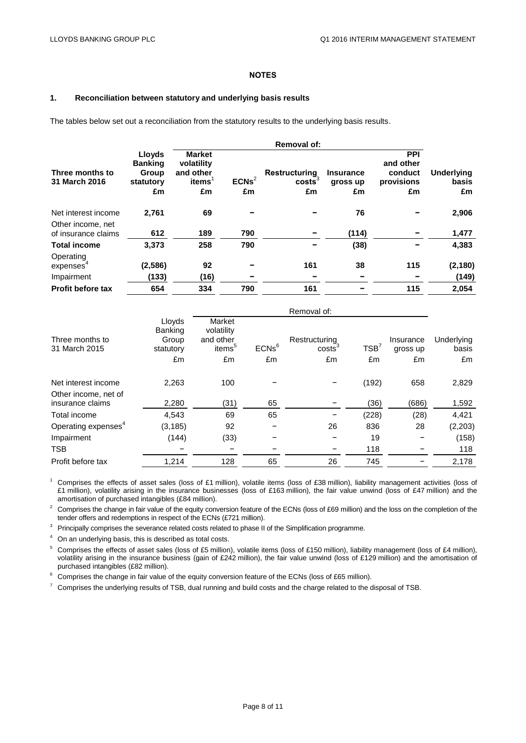#### **NOTES**

#### **1. Reconciliation between statutory and underlying basis results**

The tables below set out a reconciliation from the statutory results to the underlying basis results.

|                                          |                          |                             |          | <b>Removal of:</b>                  |                              |                         |                            |
|------------------------------------------|--------------------------|-----------------------------|----------|-------------------------------------|------------------------------|-------------------------|----------------------------|
|                                          | Lloyds<br><b>Banking</b> | <b>Market</b><br>volatility |          |                                     |                              | <b>PPI</b><br>and other |                            |
| Three months to<br>31 March 2016         | Group<br>statutory       | and other<br>items          | $ECNs^2$ | Restructuring<br>costs <sup>3</sup> | <b>Insurance</b><br>gross up | conduct<br>provisions   | <b>Underlying</b><br>basis |
|                                          | £m                       | £m                          | £m       | £m                                  | £m                           | £m                      | £m                         |
| Net interest income                      | 2,761                    | 69                          |          |                                     | 76                           |                         | 2,906                      |
| Other income, net<br>of insurance claims | 612                      | 189                         | 790      |                                     | (114)                        |                         | 1,477                      |
| <b>Total income</b>                      | 3,373                    | 258                         | 790      |                                     | (38)                         | -                       | 4,383                      |
| Operating<br>expenses <sup>-</sup>       | (2, 586)                 | 92                          |          | 161                                 | 38                           | 115                     | (2, 180)                   |
| Impairment                               | (133)                    | (16)                        |          |                                     |                              |                         | (149)                      |
| <b>Profit before tax</b>                 | 654                      | 334                         | 790      | 161                                 |                              | 115                     | 2,054                      |

|                                          |                                                |                                                         |          | Removal of:               |       |                       |                     |
|------------------------------------------|------------------------------------------------|---------------------------------------------------------|----------|---------------------------|-------|-----------------------|---------------------|
| Three months to<br>31 March 2015         | Lloyds<br><b>Banking</b><br>Group<br>statutory | Market<br>volatility<br>and other<br>items <sup>5</sup> | $ECNs^6$ | Restructuring<br>$\csc^3$ | TSB'  | Insurance<br>gross up | Underlying<br>basis |
|                                          | £m                                             | £m                                                      | £m       | £m                        | £m    | £m                    | £m                  |
| Net interest income                      | 2,263                                          | 100                                                     |          |                           | (192) | 658                   | 2,829               |
| Other income, net of<br>insurance claims | 2,280                                          | (31)                                                    | 65       |                           | (36)  | (686)                 | 1,592               |
| Total income                             | 4,543                                          | 69                                                      | 65       |                           | (228) | (28)                  | 4,421               |
| Operating expenses <sup>4</sup>          | (3, 185)                                       | 92                                                      |          | 26                        | 836   | 28                    | (2,203)             |
| Impairment                               | (144)                                          | (33)                                                    |          |                           | 19    |                       | (158)               |
| <b>TSB</b>                               |                                                |                                                         |          |                           | 118   |                       | 118                 |
| Profit before tax                        | 1,214                                          | 128                                                     | 65       | 26                        | 745   |                       | 2,178               |

 $1$  Comprises the effects of asset sales (loss of £1 million), volatile items (loss of £38 million), liability management activities (loss of £1 million), volatility arising in the insurance businesses (loss of £163 million), the fair value unwind (loss of £47 million) and the amortisation of purchased intangibles (£84 million).

<sup>2</sup> Comprises the change in fair value of the equity conversion feature of the ECNs (loss of £69 million) and the loss on the completion of the tender offers and redemptions in respect of the ECNs (£721 million).

<sup>3</sup> Principally comprises the severance related costs related to phase II of the Simplification programme.

<sup>4</sup> On an underlying basis, this is described as total costs.

<sup>5</sup> Comprises the effects of asset sales (loss of £5 million), volatile items (loss of £150 million), liability management (loss of £4 million), volatility arising in the insurance business (gain of £242 million), the fair value unwind (loss of £129 million) and the amortisation of purchased intangibles (£82 million).

 $6$  Comprises the change in fair value of the equity conversion feature of the ECNs (loss of £65 million).

 $7$  Comprises the underlying results of TSB, dual running and build costs and the charge related to the disposal of TSB.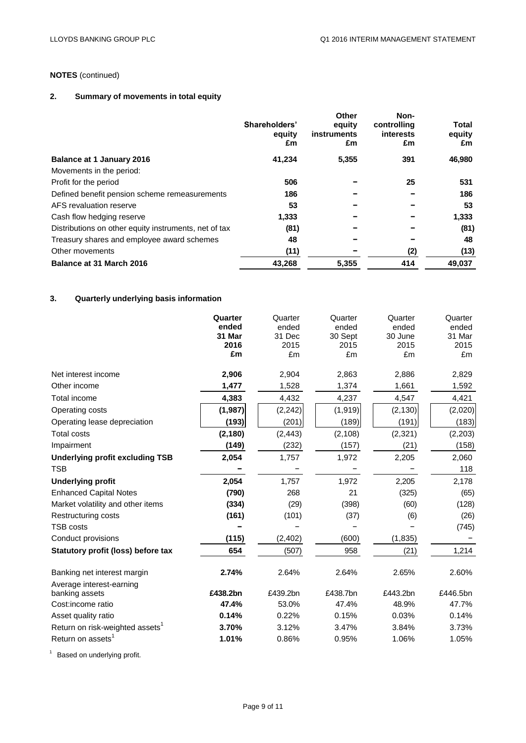# **NOTES** (continued)

# **2. Summary of movements in total equity**

|                                                       | Shareholders'<br>equity<br>£m | Other<br>equity<br>instruments<br>£m | Non-<br>controlling<br>interests<br>£m | Total<br>equity<br>£m |
|-------------------------------------------------------|-------------------------------|--------------------------------------|----------------------------------------|-----------------------|
| <b>Balance at 1 January 2016</b>                      | 41,234                        | 5,355                                | 391                                    | 46,980                |
| Movements in the period:                              |                               |                                      |                                        |                       |
| Profit for the period                                 | 506                           |                                      | 25                                     | 531                   |
| Defined benefit pension scheme remeasurements         | 186                           |                                      |                                        | 186                   |
| AFS revaluation reserve                               | 53                            |                                      |                                        | 53                    |
| Cash flow hedging reserve                             | 1,333                         |                                      |                                        | 1,333                 |
| Distributions on other equity instruments, net of tax | (81)                          |                                      |                                        | (81)                  |
| Treasury shares and employee award schemes            | 48                            |                                      |                                        | 48                    |
| Other movements                                       | (11)                          |                                      | (2)                                    | (13)                  |
| Balance at 31 March 2016                              | 43,268                        | 5,355                                | 414                                    | 49,037                |

# **3. Quarterly underlying basis information**

|                                                         | Quarter    | Quarter    | Quarter    | Quarter    | Quarter    |
|---------------------------------------------------------|------------|------------|------------|------------|------------|
|                                                         | ended      | ended      | ended      | ended      | ended      |
|                                                         | 31 Mar     | 31 Dec     | 30 Sept    | 30 June    | 31 Mar     |
|                                                         | 2016<br>£m | 2015<br>£m | 2015<br>£m | 2015<br>£m | 2015<br>£m |
|                                                         |            |            |            |            |            |
| Net interest income                                     | 2,906      | 2,904      | 2,863      | 2,886      | 2,829      |
| Other income                                            | 1,477      | 1,528      | 1,374      | 1,661      | 1,592      |
| Total income                                            | 4,383      | 4,432      | 4,237      | 4,547      | 4,421      |
| Operating costs                                         | (1,987)    | (2, 242)   | (1, 919)   | (2, 130)   | (2,020)    |
| Operating lease depreciation                            | (193)      | (201)      | (189)      | (191)      | (183)      |
| <b>Total costs</b>                                      | (2, 180)   | (2, 443)   | (2, 108)   | (2, 321)   | (2,203)    |
| Impairment                                              | (149)      | (232)      | (157)      | (21)       | (158)      |
| <b>Underlying profit excluding TSB</b>                  | 2,054      | 1,757      | 1,972      | 2,205      | 2,060      |
| <b>TSB</b>                                              |            |            |            |            | 118        |
| <b>Underlying profit</b>                                | 2,054      | 1,757      | 1,972      | 2,205      | 2,178      |
| <b>Enhanced Capital Notes</b>                           | (790)      | 268        | 21         | (325)      | (65)       |
| Market volatility and other items                       | (334)      | (29)       | (398)      | (60)       | (128)      |
| Restructuring costs                                     | (161)      | (101)      | (37)       | (6)        | (26)       |
| <b>TSB costs</b>                                        |            |            |            |            | (745)      |
| Conduct provisions                                      | (115)      | (2, 402)   | (600)      | (1, 835)   |            |
| Statutory profit (loss) before tax                      | 654        | (507)      | 958        | (21)       | 1,214      |
| Banking net interest margin<br>Average interest-earning | 2.74%      | 2.64%      | 2.64%      | 2.65%      | 2.60%      |
| banking assets                                          | £438.2bn   | £439.2bn   | £438.7bn   | £443.2bn   | £446.5bn   |
| Cost:income ratio                                       | 47.4%      | 53.0%      | 47.4%      | 48.9%      | 47.7%      |
| Asset quality ratio                                     | 0.14%      | 0.22%      | 0.15%      | 0.03%      | 0.14%      |
| Return on risk-weighted assets <sup>1</sup>             | 3.70%      | 3.12%      | 3.47%      | 3.84%      | 3.73%      |
| Return on assets <sup>1</sup>                           | 1.01%      | 0.86%      | 0.95%      | 1.06%      | 1.05%      |
|                                                         |            |            |            |            |            |

 $1$  Based on underlying profit.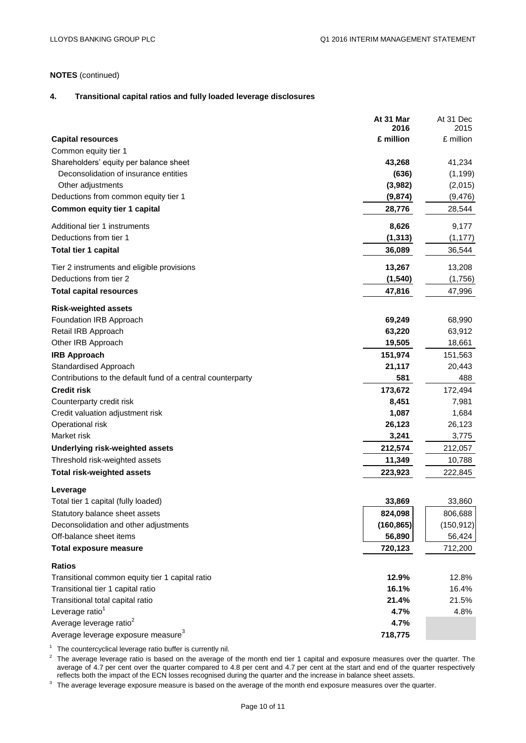# **NOTES** (continued)

#### **4. Transitional capital ratios and fully loaded leverage disclosures**

|                                                             | At 31 Mar<br>2016 | At 31 Dec         |
|-------------------------------------------------------------|-------------------|-------------------|
| <b>Capital resources</b>                                    | £ million         | 2015<br>£ million |
| Common equity tier 1                                        |                   |                   |
| Shareholders' equity per balance sheet                      | 43,268            | 41,234            |
| Deconsolidation of insurance entities                       | (636)             | (1, 199)          |
| Other adjustments                                           | (3,982)           | (2,015)           |
| Deductions from common equity tier 1                        | (9, 874)          | (9, 476)          |
| Common equity tier 1 capital                                | 28,776            | 28,544            |
| Additional tier 1 instruments                               | 8,626             | 9,177             |
| Deductions from tier 1                                      | (1, 313)          | (1, 177)          |
| <b>Total tier 1 capital</b>                                 | 36,089            | 36,544            |
| Tier 2 instruments and eligible provisions                  | 13,267            | 13,208            |
| Deductions from tier 2                                      | (1, 540)          | (1,756)           |
| <b>Total capital resources</b>                              | 47,816            | 47,996            |
| <b>Risk-weighted assets</b>                                 |                   |                   |
| Foundation IRB Approach                                     | 69,249            | 68,990            |
| Retail IRB Approach                                         | 63,220            | 63,912            |
| Other IRB Approach                                          | 19,505            | 18,661            |
| <b>IRB Approach</b>                                         | 151,974           | 151,563           |
| Standardised Approach                                       | 21,117            | 20,443            |
| Contributions to the default fund of a central counterparty | 581               | 488               |
| <b>Credit risk</b>                                          | 173,672           | 172,494           |
| Counterparty credit risk                                    | 8,451             | 7,981             |
| Credit valuation adjustment risk                            | 1,087             | 1,684             |
| Operational risk                                            | 26,123            | 26,123            |
| Market risk                                                 | 3,241             | 3,775             |
| Underlying risk-weighted assets                             | 212,574           | 212,057           |
| Threshold risk-weighted assets                              | 11,349            | 10,788            |
| <b>Total risk-weighted assets</b>                           | 223,923           | 222,845           |
| Leverage                                                    |                   |                   |
| Total tier 1 capital (fully loaded)                         | 33,869            | 33,860            |
| Statutory balance sheet assets                              | 824,098           | 806,688           |
| Deconsolidation and other adjustments                       | (160, 865)        | (150, 912)        |
| Off-balance sheet items                                     | 56,890            | 56,424            |
| <b>Total exposure measure</b>                               | 720,123           | 712,200           |
| <b>Ratios</b>                                               |                   |                   |
| Transitional common equity tier 1 capital ratio             | 12.9%             | 12.8%             |
| Transitional tier 1 capital ratio                           | 16.1%             | 16.4%             |
| Transitional total capital ratio                            | 21.4%             | 21.5%             |
| Leverage ratio <sup>1</sup>                                 | 4.7%              | 4.8%              |
| Average leverage ratio <sup>2</sup>                         | 4.7%              |                   |
| Average leverage exposure measure <sup>3</sup>              | 718,775           |                   |

 $1$  The countercyclical leverage ratio buffer is currently nil.

 $2$  The average leverage ratio is based on the average of the month end tier 1 capital and exposure measures over the quarter. The average of 4.7 per cent over the quarter compared to 4.8 per cent and 4.7 per cent at the start and end of the quarter respectively reflects both the impact of the ECN losses recognised during the quarter and the increase in balance sheet assets.

 $3$  The average leverage exposure measure is based on the average of the month end exposure measures over the quarter.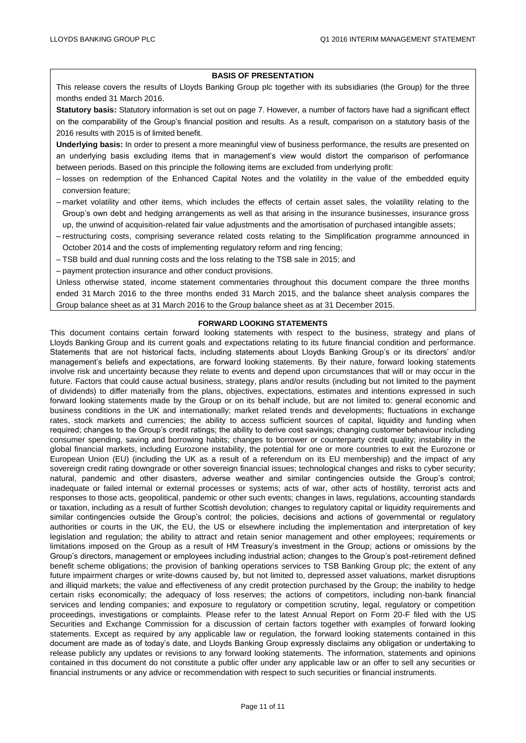#### **BASIS OF PRESENTATION**

This release covers the results of Lloyds Banking Group plc together with its subsidiaries (the Group) for the three months ended 31 March 2016.

**Statutory basis:** Statutory information is set out on page 7. However, a number of factors have had a significant effect on the comparability of the Group's financial position and results. As a result, comparison on a statutory basis of the 2016 results with 2015 is of limited benefit.

**Underlying basis:** In order to present a more meaningful view of business performance, the results are presented on an underlying basis excluding items that in management's view would distort the comparison of performance between periods. Based on this principle the following items are excluded from underlying profit:

- losses on redemption of the Enhanced Capital Notes and the volatility in the value of the embedded equity conversion feature;
- market volatility and other items, which includes the effects of certain asset sales, the volatility relating to the Group's own debt and hedging arrangements as well as that arising in the insurance businesses, insurance gross up, the unwind of acquisition-related fair value adjustments and the amortisation of purchased intangible assets;
- restructuring costs, comprising severance related costs relating to the Simplification programme announced in October 2014 and the costs of implementing regulatory reform and ring fencing;
- TSB build and dual running costs and the loss relating to the TSB sale in 2015; and
- payment protection insurance and other conduct provisions.

Unless otherwise stated, income statement commentaries throughout this document compare the three months ended 31 March 2016 to the three months ended 31 March 2015, and the balance sheet analysis compares the Group balance sheet as at 31 March 2016 to the Group balance sheet as at 31 December 2015.

#### **FORWARD LOOKING STATEMENTS**

This document contains certain forward looking statements with respect to the business, strategy and plans of Lloyds Banking Group and its current goals and expectations relating to its future financial condition and performance. Statements that are not historical facts, including statements about Lloyds Banking Group's or its directors' and/or management's beliefs and expectations, are forward looking statements. By their nature, forward looking statements involve risk and uncertainty because they relate to events and depend upon circumstances that will or may occur in the future. Factors that could cause actual business, strategy, plans and/or results (including but not limited to the payment of dividends) to differ materially from the plans, objectives, expectations, estimates and intentions expressed in such forward looking statements made by the Group or on its behalf include, but are not limited to: general economic and business conditions in the UK and internationally; market related trends and developments; fluctuations in exchange rates, stock markets and currencies; the ability to access sufficient sources of capital, liquidity and funding when required; changes to the Group's credit ratings; the ability to derive cost savings; changing customer behaviour including consumer spending, saving and borrowing habits; changes to borrower or counterparty credit quality; instability in the global financial markets, including Eurozone instability, the potential for one or more countries to exit the Eurozone or European Union (EU) (including the UK as a result of a referendum on its EU membership) and the impact of any sovereign credit rating downgrade or other sovereign financial issues; technological changes and risks to cyber security; natural, pandemic and other disasters, adverse weather and similar contingencies outside the Group's control; inadequate or failed internal or external processes or systems; acts of war, other acts of hostility, terrorist acts and responses to those acts, geopolitical, pandemic or other such events; changes in laws, regulations, accounting standards or taxation, including as a result of further Scottish devolution; changes to regulatory capital or liquidity requirements and similar contingencies outside the Group's control; the policies, decisions and actions of governmental or regulatory authorities or courts in the UK, the EU, the US or elsewhere including the implementation and interpretation of key legislation and regulation; the ability to attract and retain senior management and other employees; requirements or limitations imposed on the Group as a result of HM Treasury's investment in the Group; actions or omissions by the Group's directors, management or employees including industrial action; changes to the Group's post-retirement defined benefit scheme obligations; the provision of banking operations services to TSB Banking Group plc; the extent of any future impairment charges or write-downs caused by, but not limited to, depressed asset valuations, market disruptions and illiquid markets; the value and effectiveness of any credit protection purchased by the Group; the inability to hedge certain risks economically; the adequacy of loss reserves; the actions of competitors, including non-bank financial services and lending companies; and exposure to regulatory or competition scrutiny, legal, regulatory or competition proceedings, investigations or complaints. Please refer to the latest Annual Report on Form 20-F filed with the US Securities and Exchange Commission for a discussion of certain factors together with examples of forward looking statements. Except as required by any applicable law or regulation, the forward looking statements contained in this document are made as of today's date, and Lloyds Banking Group expressly disclaims any obligation or undertaking to release publicly any updates or revisions to any forward looking statements. The information, statements and opinions contained in this document do not constitute a public offer under any applicable law or an offer to sell any securities or financial instruments or any advice or recommendation with respect to such securities or financial instruments.